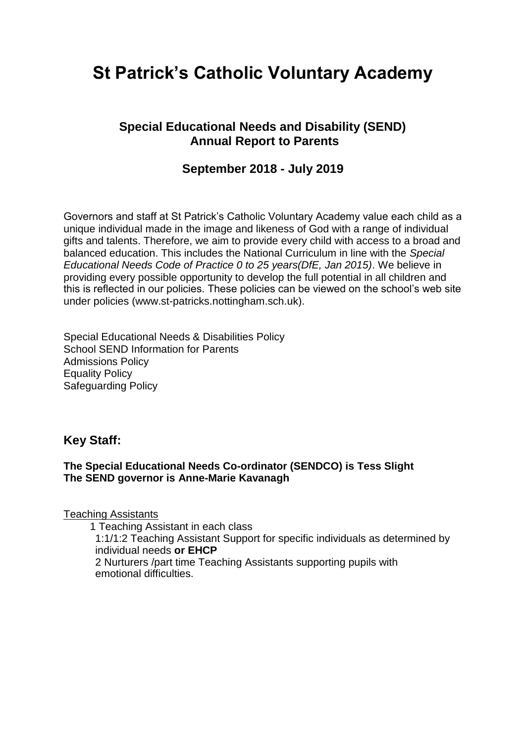# **St Patrick's Catholic Voluntary Academy**

### **Special Educational Needs and Disability (SEND) Annual Report to Parents**

### **September 2018 - July 2019**

Governors and staff at St Patrick's Catholic Voluntary Academy value each child as a unique individual made in the image and likeness of God with a range of individual gifts and talents. Therefore, we aim to provide every child with access to a broad and balanced education. This includes the National Curriculum in line with the *Special Educational Needs Code of Practice 0 to 25 years(DfE, Jan 2015)*. We believe in providing every possible opportunity to develop the full potential in all children and this is reflected in our policies. These policies can be viewed on the school's web site under policies (www.st-patricks.nottingham.sch.uk).

Special Educational Needs & Disabilities Policy School SEND Information for Parents Admissions Policy Equality Policy Safeguarding Policy

### **Key Staff:**

#### **The Special Educational Needs Co-ordinator (SENDCO) is Tess Slight The SEND governor is Anne-Marie Kavanagh**

Teaching Assistants

1 Teaching Assistant in each class

1:1/1:2 Teaching Assistant Support for specific individuals as determined by individual needs **or EHCP**

2 Nurturers /part time Teaching Assistants supporting pupils with emotional difficulties.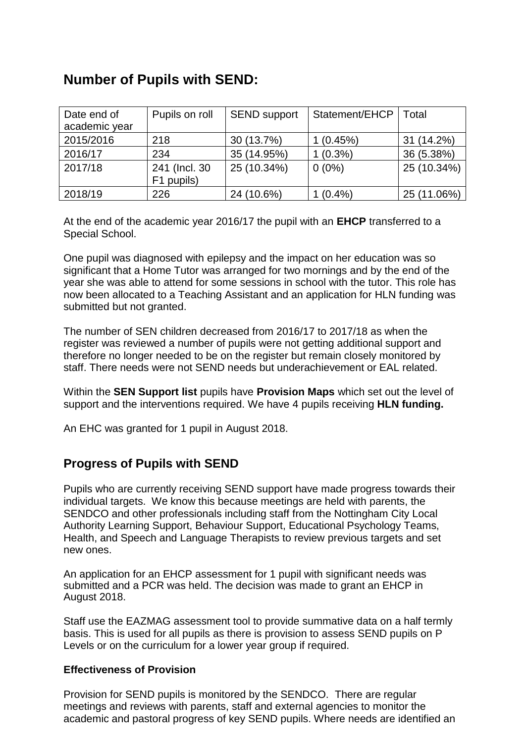## **Number of Pupils with SEND:**

| Date end of<br>academic year | Pupils on roll               | <b>SEND support</b> | Statement/EHCP | Total       |
|------------------------------|------------------------------|---------------------|----------------|-------------|
| 2015/2016                    | 218                          | 30 (13.7%)          | 1(0.45%)       | 31 (14.2%)  |
| 2016/17                      | 234                          | 35 (14.95%)         | $(0.3\%)$      | 36 (5.38%)  |
| 2017/18                      | 241 (Incl. 30)<br>F1 pupils) | 25 (10.34%)         | $0(0\%)$       | 25 (10.34%) |
| 2018/19                      | 226                          | 24 (10.6%)          | $(0.4\%)$      | 25 (11.06%) |

At the end of the academic year 2016/17 the pupil with an **EHCP** transferred to a Special School.

One pupil was diagnosed with epilepsy and the impact on her education was so significant that a Home Tutor was arranged for two mornings and by the end of the year she was able to attend for some sessions in school with the tutor. This role has now been allocated to a Teaching Assistant and an application for HLN funding was submitted but not granted.

The number of SEN children decreased from 2016/17 to 2017/18 as when the register was reviewed a number of pupils were not getting additional support and therefore no longer needed to be on the register but remain closely monitored by staff. There needs were not SEND needs but underachievement or EAL related.

Within the **SEN Support list** pupils have **Provision Maps** which set out the level of support and the interventions required. We have 4 pupils receiving **HLN funding.** 

An EHC was granted for 1 pupil in August 2018.

### **Progress of Pupils with SEND**

Pupils who are currently receiving SEND support have made progress towards their individual targets. We know this because meetings are held with parents, the SENDCO and other professionals including staff from the Nottingham City Local Authority Learning Support, Behaviour Support, Educational Psychology Teams, Health, and Speech and Language Therapists to review previous targets and set new ones.

An application for an EHCP assessment for 1 pupil with significant needs was submitted and a PCR was held. The decision was made to grant an EHCP in August 2018.

Staff use the EAZMAG assessment tool to provide summative data on a half termly basis. This is used for all pupils as there is provision to assess SEND pupils on P Levels or on the curriculum for a lower year group if required.

#### **Effectiveness of Provision**

Provision for SEND pupils is monitored by the SENDCO. There are regular meetings and reviews with parents, staff and external agencies to monitor the academic and pastoral progress of key SEND pupils. Where needs are identified an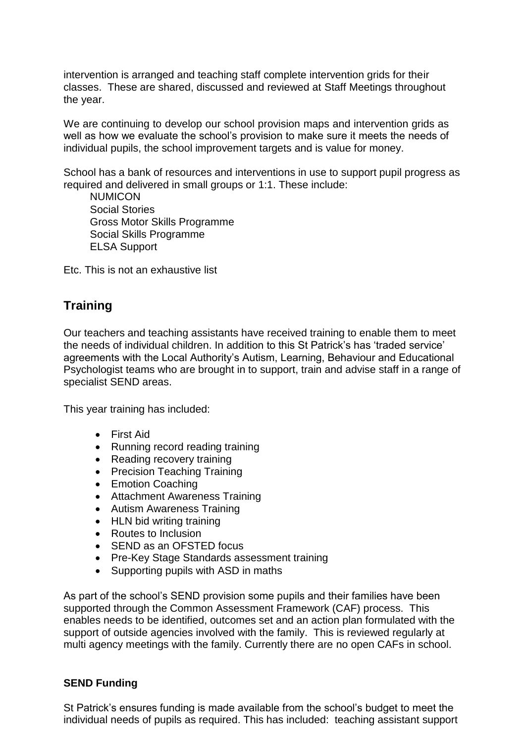intervention is arranged and teaching staff complete intervention grids for their classes. These are shared, discussed and reviewed at Staff Meetings throughout the year.

We are continuing to develop our school provision maps and intervention grids as well as how we evaluate the school's provision to make sure it meets the needs of individual pupils, the school improvement targets and is value for money.

School has a bank of resources and interventions in use to support pupil progress as required and delivered in small groups or 1:1. These include:

**NUMICON**  Social Stories Gross Motor Skills Programme Social Skills Programme ELSA Support

Etc. This is not an exhaustive list

### **Training**

Our teachers and teaching assistants have received training to enable them to meet the needs of individual children. In addition to this St Patrick's has 'traded service' agreements with the Local Authority's Autism, Learning, Behaviour and Educational Psychologist teams who are brought in to support, train and advise staff in a range of specialist SEND areas.

This year training has included:

- First Aid
- Running record reading training
- Reading recovery training
- Precision Teaching Training
- Emotion Coaching
- Attachment Awareness Training
- Autism Awareness Training
- HLN bid writing training
- Routes to Inclusion
- SEND as an OFSTED focus
- Pre-Key Stage Standards assessment training
- Supporting pupils with ASD in maths

As part of the school's SEND provision some pupils and their families have been supported through the Common Assessment Framework (CAF) process. This enables needs to be identified, outcomes set and an action plan formulated with the support of outside agencies involved with the family. This is reviewed regularly at multi agency meetings with the family. Currently there are no open CAFs in school.

#### **SEND Funding**

St Patrick's ensures funding is made available from the school's budget to meet the individual needs of pupils as required. This has included: teaching assistant support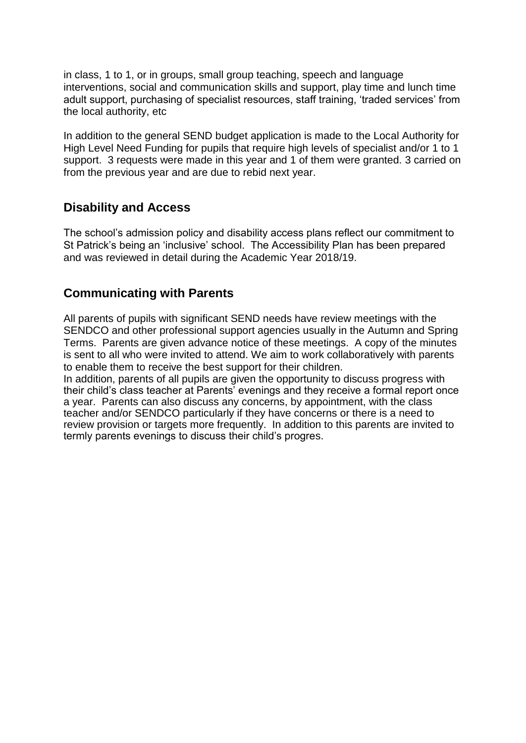in class, 1 to 1, or in groups, small group teaching, speech and language interventions, social and communication skills and support, play time and lunch time adult support, purchasing of specialist resources, staff training, 'traded services' from the local authority, etc

In addition to the general SEND budget application is made to the Local Authority for High Level Need Funding for pupils that require high levels of specialist and/or 1 to 1 support. 3 requests were made in this year and 1 of them were granted. 3 carried on from the previous year and are due to rebid next year.

### **Disability and Access**

The school's admission policy and disability access plans reflect our commitment to St Patrick's being an 'inclusive' school. The Accessibility Plan has been prepared and was reviewed in detail during the Academic Year 2018/19.

### **Communicating with Parents**

All parents of pupils with significant SEND needs have review meetings with the SENDCO and other professional support agencies usually in the Autumn and Spring Terms. Parents are given advance notice of these meetings. A copy of the minutes is sent to all who were invited to attend. We aim to work collaboratively with parents to enable them to receive the best support for their children.

In addition, parents of all pupils are given the opportunity to discuss progress with their child's class teacher at Parents' evenings and they receive a formal report once a year. Parents can also discuss any concerns, by appointment, with the class teacher and/or SENDCO particularly if they have concerns or there is a need to review provision or targets more frequently. In addition to this parents are invited to termly parents evenings to discuss their child's progres.